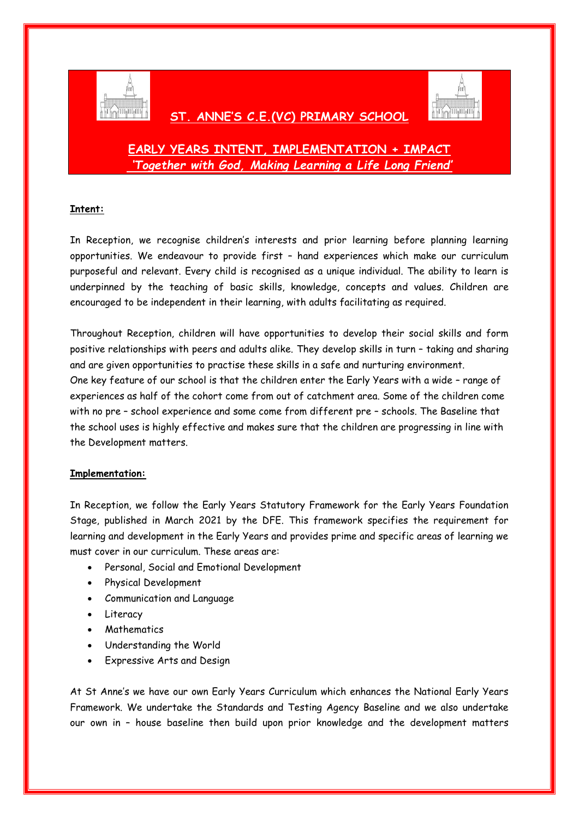

## **ST. ANNE'S C.E.(VC) PRIMARY SCHOOL**



# **EARLY YEARS INTENT, IMPLEMENTATION + IMPACT** *'Together with God, Making Learning a Life Long Friend'*

### **Intent:**

In Reception, we recognise children's interests and prior learning before planning learning opportunities. We endeavour to provide first – hand experiences which make our curriculum purposeful and relevant. Every child is recognised as a unique individual. The ability to learn is underpinned by the teaching of basic skills, knowledge, concepts and values. Children are encouraged to be independent in their learning, with adults facilitating as required.

Throughout Reception, children will have opportunities to develop their social skills and form positive relationships with peers and adults alike. They develop skills in turn – taking and sharing and are given opportunities to practise these skills in a safe and nurturing environment. One key feature of our school is that the children enter the Early Years with a wide – range of experiences as half of the cohort come from out of catchment area. Some of the children come with no pre – school experience and some come from different pre – schools. The Baseline that the school uses is highly effective and makes sure that the children are progressing in line with the Development matters.

#### **Implementation:**

In Reception, we follow the Early Years Statutory Framework for the Early Years Foundation Stage, published in March 2021 by the DFE. This framework specifies the requirement for learning and development in the Early Years and provides prime and specific areas of learning we must cover in our curriculum. These areas are:

- Personal, Social and Emotional Development
- Physical Development
- Communication and Language
- Literacy
- Mathematics
- Understanding the World
- Expressive Arts and Design

At St Anne's we have our own Early Years Curriculum which enhances the National Early Years Framework. We undertake the Standards and Testing Agency Baseline and we also undertake our own in – house baseline then build upon prior knowledge and the development matters